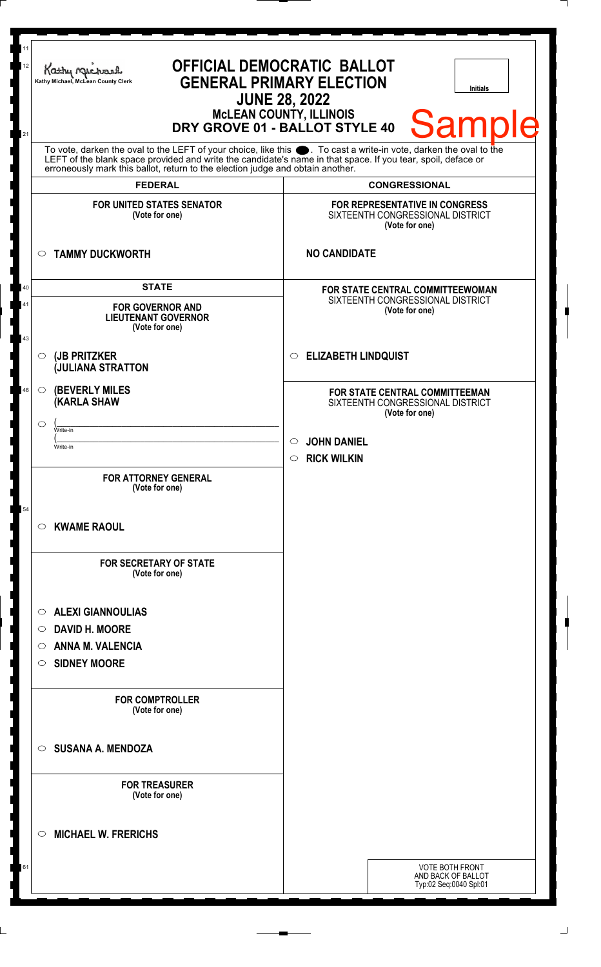| 11<br>12<br>21 | Kathy Me<br>Kathy Michael, McLean County Clerk                                                                                                                                                                                                                                                                         | <b>OFFICIAL DEMOCRATIC BALLOT</b><br><b>GENERAL PRIMARY ELECTION</b><br><b>Initials</b><br><b>JUNE 28, 2022</b><br><b>MCLEAN COUNTY, ILLINOIS</b><br><b>Sample</b><br>DRY GROVE 01 - BALLOT STYLE 40 |
|----------------|------------------------------------------------------------------------------------------------------------------------------------------------------------------------------------------------------------------------------------------------------------------------------------------------------------------------|------------------------------------------------------------------------------------------------------------------------------------------------------------------------------------------------------|
|                | To vote, darken the oval to the LEFT of your choice, like this $\bullet$ . To cast a write-in vote, darken the oval to the LEFT of the blank space provided and write the candidate's name in that space. If you tear, spoil, deface<br>erroneously mark this ballot, return to the election judge and obtain another. |                                                                                                                                                                                                      |
|                | <b>FEDERAL</b><br><b>FOR UNITED STATES SENATOR</b><br>(Vote for one)                                                                                                                                                                                                                                                   | <b>CONGRESSIONAL</b><br>FOR REPRESENTATIVE IN CONGRESS<br>SIXTEENTH CONGRESSIONAL DISTRICT<br>(Vote for one)                                                                                         |
|                | <b>TAMMY DUCKWORTH</b><br>$\circ$                                                                                                                                                                                                                                                                                      | <b>NO CANDIDATE</b>                                                                                                                                                                                  |
| 40<br>41<br>43 | <b>STATE</b><br><b>FOR GOVERNOR AND</b><br><b>LIEUTENANT GOVERNOR</b><br>(Vote for one)                                                                                                                                                                                                                                | FOR STATE CENTRAL COMMITTEEWOMAN<br>SIXTEENTH CONGRESSIONAL DISTRICT<br>(Vote for one)                                                                                                               |
|                | (JB PRITZKER<br>$\circ$<br><b>JULIANA STRATTON</b>                                                                                                                                                                                                                                                                     | C ELIZABETH LINDQUIST                                                                                                                                                                                |
| 46             | <b>(BEVERLY MILES)</b><br>$\circ$<br><b>(KARLA SHAW</b><br>$\circlearrowright$<br>Write-in<br>Write-in<br><b>FOR ATTORNEY GENERAL</b><br>(Vote for one)                                                                                                                                                                | <b>FOR STATE CENTRAL COMMITTEEMAN</b><br>SIXTEENTH CONGRESSIONAL DISTRICT<br>(Vote for one)<br><b>JOHN DANIEL</b><br>$\circ$<br>$\circ$ RICK WILKIN                                                  |
| 54             | <b>KWAME RAOUL</b><br>$\circ$<br><b>FOR SECRETARY OF STATE</b>                                                                                                                                                                                                                                                         |                                                                                                                                                                                                      |
|                | (Vote for one)<br><b>ALEXI GIANNOULIAS</b><br>O<br><b>DAVID H. MOORE</b><br>O<br><b>ANNA M. VALENCIA</b><br>O<br><b>SIDNEY MOORE</b><br>O                                                                                                                                                                              |                                                                                                                                                                                                      |
|                | <b>FOR COMPTROLLER</b><br>(Vote for one)<br><b>SUSANA A. MENDOZA</b><br>$\circ$                                                                                                                                                                                                                                        |                                                                                                                                                                                                      |
|                | <b>FOR TREASURER</b><br>(Vote for one)                                                                                                                                                                                                                                                                                 |                                                                                                                                                                                                      |
|                | <b>MICHAEL W. FRERICHS</b><br>◯                                                                                                                                                                                                                                                                                        |                                                                                                                                                                                                      |
| 61             |                                                                                                                                                                                                                                                                                                                        | <b>VOTE BOTH FRONT</b><br>AND BACK OF BALLOT<br>Typ:02 Seq:0040 Spl:01                                                                                                                               |
|                |                                                                                                                                                                                                                                                                                                                        |                                                                                                                                                                                                      |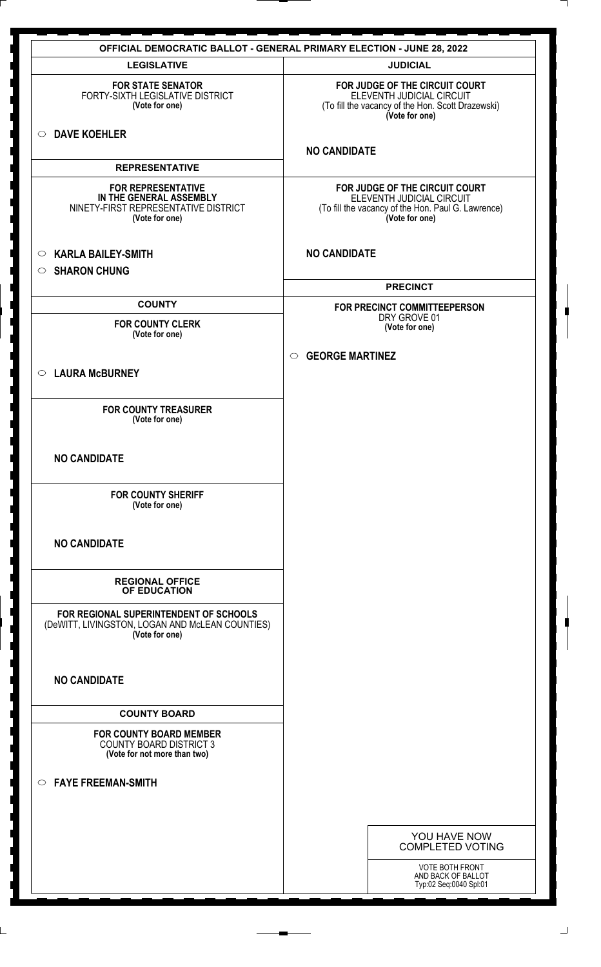|                                                                                                                | <b>OFFICIAL DEMOCRATIC BALLOT - GENERAL PRIMARY ELECTION - JUNE 28, 2022</b>                                                        |
|----------------------------------------------------------------------------------------------------------------|-------------------------------------------------------------------------------------------------------------------------------------|
| <b>LEGISLATIVE</b>                                                                                             | <b>JUDICIAL</b>                                                                                                                     |
| <b>FOR STATE SENATOR</b><br>FORTY-SIXTH LEGISLATIVE DISTRICT<br>(Vote for one)                                 | FOR JUDGE OF THE CIRCUIT COURT<br>ELEVENTH JUDICIAL CIRCUIT<br>(To fill the vacancy of the Hon. Scott Drazewski)<br>(Vote for one)  |
| <b>DAVE KOEHLER</b><br>$\circ$                                                                                 | <b>NO CANDIDATE</b>                                                                                                                 |
| <b>REPRESENTATIVE</b>                                                                                          |                                                                                                                                     |
| <b>FOR REPRESENTATIVE</b><br>IN THE GENERAL ASSEMBLY<br>NINETY-FIRST REPRESENTATIVE DISTRICT<br>(Vote for one) | FOR JUDGE OF THE CIRCUIT COURT<br>ELEVENTH JUDICIAL CIRCUIT<br>(To fill the vacancy of the Hon. Paul G. Lawrence)<br>(Vote for one) |
| <b>KARLA BAILEY-SMITH</b><br>$\circ$<br><b>SHARON CHUNG</b><br>$\circ$                                         | <b>NO CANDIDATE</b>                                                                                                                 |
|                                                                                                                | <b>PRECINCT</b>                                                                                                                     |
| <b>COUNTY</b>                                                                                                  | FOR PRECINCT COMMITTEEPERSON                                                                                                        |
| <b>FOR COUNTY CLERK</b><br>(Vote for one)                                                                      | DRY GROVE 01<br>(Vote for one)                                                                                                      |
|                                                                                                                | <b>GEORGE MARTINEZ</b><br>$\circ$                                                                                                   |
| <b>LAURA McBURNEY</b><br>$\circ$                                                                               |                                                                                                                                     |
|                                                                                                                |                                                                                                                                     |
| <b>FOR COUNTY TREASURER</b><br>(Vote for one)                                                                  |                                                                                                                                     |
| <b>NO CANDIDATE</b>                                                                                            |                                                                                                                                     |
| <b>FOR COUNTY SHERIFF</b><br>(Vote for one)                                                                    |                                                                                                                                     |
| <b>NO CANDIDATE</b>                                                                                            |                                                                                                                                     |
| <b>REGIONAL OFFICE</b><br>OF EDUCATION                                                                         |                                                                                                                                     |
| FOR REGIONAL SUPERINTENDENT OF SCHOOLS<br>(DeWITT, LIVINGSTON, LOGAN AND McLEAN COUNTIES)<br>(Vote for one)    |                                                                                                                                     |
| <b>NO CANDIDATE</b>                                                                                            |                                                                                                                                     |
| <b>COUNTY BOARD</b>                                                                                            |                                                                                                                                     |
| <b>FOR COUNTY BOARD MEMBER</b><br><b>COUNTY BOARD DISTRICT 3</b><br>(Vote for not more than two)               |                                                                                                                                     |
| <b>FAYE FREEMAN-SMITH</b><br>$\circ$                                                                           |                                                                                                                                     |
|                                                                                                                |                                                                                                                                     |
|                                                                                                                |                                                                                                                                     |
|                                                                                                                | YOU HAVE NOW<br><b>COMPLETED VOTING</b>                                                                                             |
|                                                                                                                | VOTE BOTH FRONT<br>AND BACK OF BALLOT<br>Typ:02 Seq:0040 Spl:01                                                                     |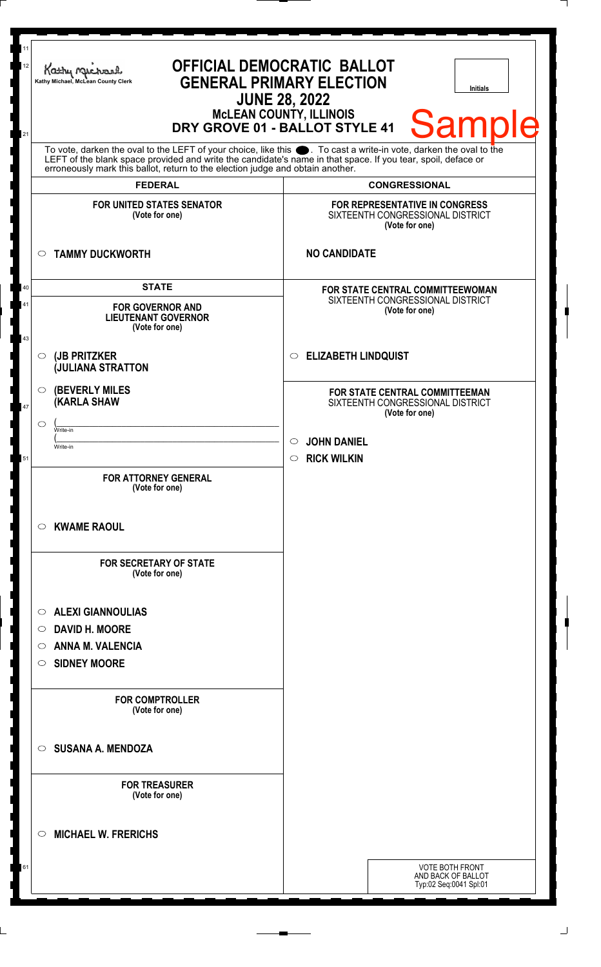| 11<br>12<br>21 | Kathy Muc<br>Kathy Michael, McLean County Clerk                                                                                                                                                                                                                                                                        | <b>OFFICIAL DEMOCRATIC BALLOT</b><br><b>GENERAL PRIMARY ELECTION</b><br><b>Initials</b><br><b>JUNE 28, 2022</b><br><b>MCLEAN COUNTY, ILLINOIS</b><br><b>Sample</b><br>DRY GROVE 01 - BALLOT STYLE 41 |
|----------------|------------------------------------------------------------------------------------------------------------------------------------------------------------------------------------------------------------------------------------------------------------------------------------------------------------------------|------------------------------------------------------------------------------------------------------------------------------------------------------------------------------------------------------|
|                | To vote, darken the oval to the LEFT of your choice, like this $\bullet$ . To cast a write-in vote, darken the oval to the LEFT of the blank space provided and write the candidate's name in that space. If you tear, spoil, deface<br>erroneously mark this ballot, return to the election judge and obtain another. |                                                                                                                                                                                                      |
|                | <b>FEDERAL</b>                                                                                                                                                                                                                                                                                                         | <b>CONGRESSIONAL</b>                                                                                                                                                                                 |
|                | <b>FOR UNITED STATES SENATOR</b><br>(Vote for one)                                                                                                                                                                                                                                                                     | FOR REPRESENTATIVE IN CONGRESS<br>SIXTEENTH CONGRESSIONAL DISTRICT<br>(Vote for one)                                                                                                                 |
| $\circ$        | <b>TAMMY DUCKWORTH</b>                                                                                                                                                                                                                                                                                                 | <b>NO CANDIDATE</b>                                                                                                                                                                                  |
| 40             | <b>STATE</b>                                                                                                                                                                                                                                                                                                           | FOR STATE CENTRAL COMMITTEEWOMAN                                                                                                                                                                     |
| 41<br>43       | <b>FOR GOVERNOR AND</b><br><b>LIEUTENANT GOVERNOR</b><br>(Vote for one)                                                                                                                                                                                                                                                | SIXTEENTH CONGRESSIONAL DISTRICT<br>(Vote for one)                                                                                                                                                   |
| $\circ$        | (JB PRITZKER<br><b>JULIANA STRATTON</b>                                                                                                                                                                                                                                                                                | <b>ELIZABETH LINDQUIST</b><br>$\circ$                                                                                                                                                                |
| $\circ$<br>47  | <b>(BEVERLY MILES)</b><br><b>(KARLA SHAW</b>                                                                                                                                                                                                                                                                           | FOR STATE CENTRAL COMMITTEEMAN<br>SIXTEENTH CONGRESSIONAL DISTRICT<br>(Vote for one)                                                                                                                 |
| ◯              | Write-in                                                                                                                                                                                                                                                                                                               |                                                                                                                                                                                                      |
|                | Write-in                                                                                                                                                                                                                                                                                                               | <b>JOHN DANIEL</b><br>$\circ$                                                                                                                                                                        |
| 51             | <b>FOR ATTORNEY GENERAL</b><br>(Vote for one)                                                                                                                                                                                                                                                                          | $\circ$ RICK WILKIN                                                                                                                                                                                  |
| $\circ$        | <b>KWAME RAOUL</b>                                                                                                                                                                                                                                                                                                     |                                                                                                                                                                                                      |
|                | <b>FOR SECRETARY OF STATE</b><br>(Vote for one)                                                                                                                                                                                                                                                                        |                                                                                                                                                                                                      |
| $\circ$        | <b>ALEXI GIANNOULIAS</b>                                                                                                                                                                                                                                                                                               |                                                                                                                                                                                                      |
| $\circ$        | <b>DAVID H. MOORE</b>                                                                                                                                                                                                                                                                                                  |                                                                                                                                                                                                      |
| $\circ$        | <b>ANNA M. VALENCIA</b>                                                                                                                                                                                                                                                                                                |                                                                                                                                                                                                      |
| $\circ$        | <b>SIDNEY MOORE</b>                                                                                                                                                                                                                                                                                                    |                                                                                                                                                                                                      |
|                | <b>FOR COMPTROLLER</b><br>(Vote for one)                                                                                                                                                                                                                                                                               |                                                                                                                                                                                                      |
| $\circ$        | <b>SUSANA A. MENDOZA</b>                                                                                                                                                                                                                                                                                               |                                                                                                                                                                                                      |
|                | <b>FOR TREASURER</b><br>(Vote for one)                                                                                                                                                                                                                                                                                 |                                                                                                                                                                                                      |
| $\circ$        | <b>MICHAEL W. FRERICHS</b>                                                                                                                                                                                                                                                                                             |                                                                                                                                                                                                      |
| 61             |                                                                                                                                                                                                                                                                                                                        | <b>VOTE BOTH FRONT</b><br>AND BACK OF BALLOT<br>Typ:02 Seq:0041 Spl:01                                                                                                                               |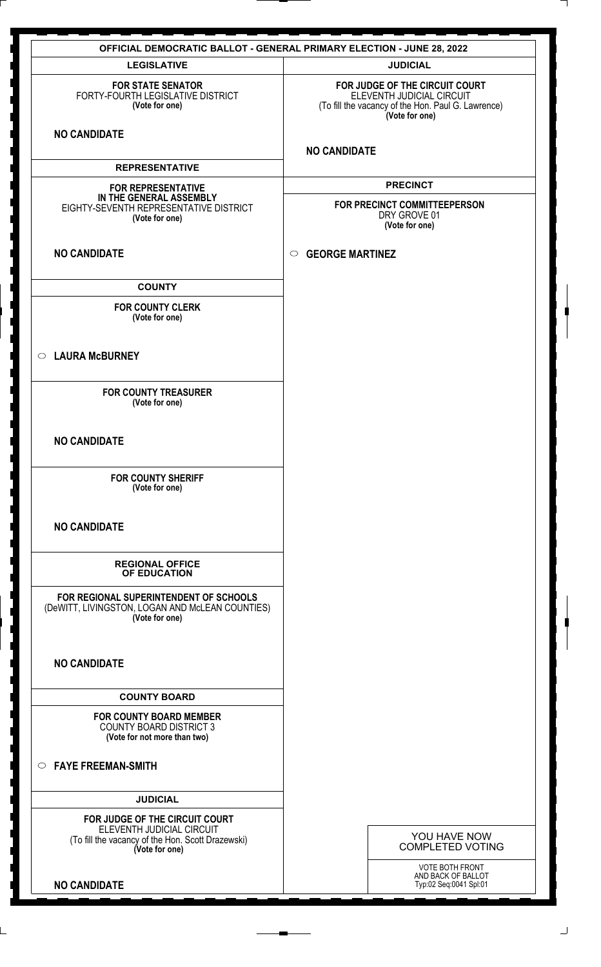|                                                                                                             | <b>OFFICIAL DEMOCRATIC BALLOT - GENERAL PRIMARY ELECTION - JUNE 28, 2022</b>                                                        |
|-------------------------------------------------------------------------------------------------------------|-------------------------------------------------------------------------------------------------------------------------------------|
| <b>LEGISLATIVE</b>                                                                                          | <b>JUDICIAL</b>                                                                                                                     |
| <b>FOR STATE SENATOR</b><br>FORTY-FOURTH LEGISLATIVE DISTRICT<br>(Vote for one)                             | FOR JUDGE OF THE CIRCUIT COURT<br>ELEVENTH JUDICIAL CIRCUIT<br>(To fill the vacancy of the Hon. Paul G. Lawrence)<br>(Vote for one) |
| <b>NO CANDIDATE</b>                                                                                         | <b>NO CANDIDATE</b>                                                                                                                 |
| <b>REPRESENTATIVE</b>                                                                                       |                                                                                                                                     |
| <b>FOR REPRESENTATIVE</b>                                                                                   | <b>PRECINCT</b>                                                                                                                     |
| IN THE GENERAL ASSEMBLY<br>EIGHTY-SEVENTH REPRESENTATIVE DISTRICT<br>(Vote for one)                         | FOR PRECINCT COMMITTEEPERSON<br>DRY GROVE 01<br>(Vote for one)                                                                      |
| <b>NO CANDIDATE</b>                                                                                         | <b>GEORGE MARTINEZ</b><br>$\circ$                                                                                                   |
| <b>COUNTY</b>                                                                                               |                                                                                                                                     |
| <b>FOR COUNTY CLERK</b><br>(Vote for one)                                                                   |                                                                                                                                     |
| <b>LAURA McBURNEY</b><br>$\circ$                                                                            |                                                                                                                                     |
| <b>FOR COUNTY TREASURER</b><br>(Vote for one)                                                               |                                                                                                                                     |
| <b>NO CANDIDATE</b>                                                                                         |                                                                                                                                     |
| <b>FOR COUNTY SHERIFF</b><br>(Vote for one)                                                                 |                                                                                                                                     |
| <b>NO CANDIDATE</b>                                                                                         |                                                                                                                                     |
| <b>REGIONAL OFFICE</b><br>OF EDUCATION                                                                      |                                                                                                                                     |
| FOR REGIONAL SUPERINTENDENT OF SCHOOLS<br>(DeWITT, LIVINGSTON, LOGAN AND McLEAN COUNTIES)<br>(Vote for one) |                                                                                                                                     |
| <b>NO CANDIDATE</b>                                                                                         |                                                                                                                                     |
| <b>COUNTY BOARD</b>                                                                                         |                                                                                                                                     |
| <b>FOR COUNTY BOARD MEMBER</b><br><b>COUNTY BOARD DISTRICT 3</b><br>(Vote for not more than two)            |                                                                                                                                     |
| $\circ$ FAYE FREEMAN-SMITH                                                                                  |                                                                                                                                     |
| <b>JUDICIAL</b>                                                                                             |                                                                                                                                     |
| FOR JUDGE OF THE CIRCUIT COURT                                                                              |                                                                                                                                     |
| ELEVENTH JUDICIAL CIRCUIT<br>(To fill the vacancy of the Hon. Scott Drazewski)<br>(Vote for one)            | YOU HAVE NOW<br><b>COMPLETED VOTING</b>                                                                                             |
| <b>NO CANDIDATE</b>                                                                                         | VOTE BOTH FRONT<br>AND BACK OF BALLOT<br>Typ:02 Seq:0041 Spl:01                                                                     |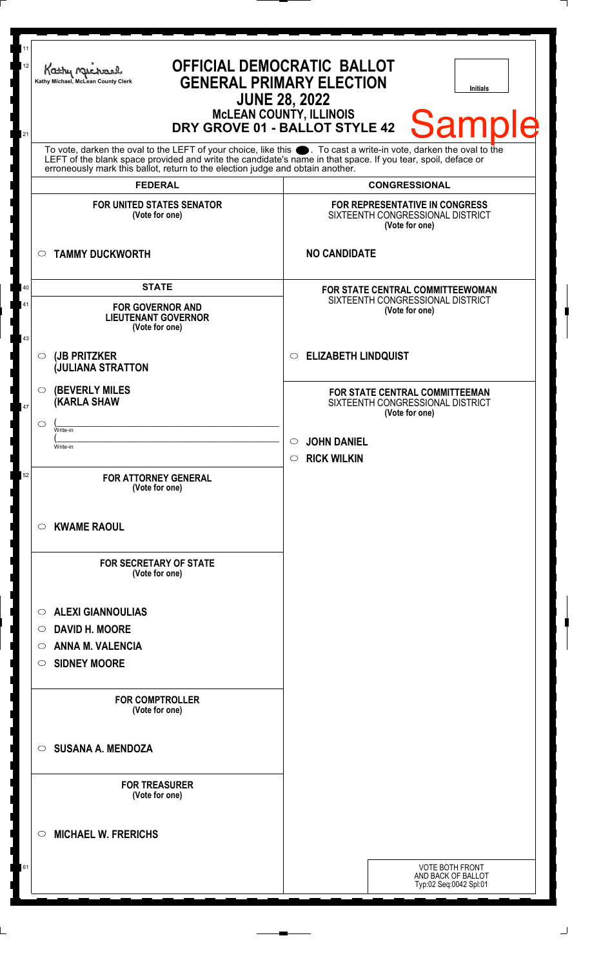| <b>FOR UNITED STATES SENATOR</b><br><b>FOR REPRESENTATIVE IN CONGRESS</b><br>SIXTEENTH CONGRESSIONAL DISTRICT<br>(Vote for one)<br>(Vote for one)<br><b>NO CANDIDATE</b><br><b>TAMMY DUCKWORTH</b><br>$\circ$<br><b>STATE</b><br>40<br>FOR STATE CENTRAL COMMITTEEWOMAN<br>SIXTEENTH CONGRESSIONAL DISTRICT<br>41<br><b>FOR GOVERNOR AND</b><br>(Vote for one)<br><b>LIEUTENANT GOVERNOR</b><br>(Vote for one)<br>43<br><b>ELIZABETH LINDQUIST</b><br>(JB PRITZKER<br>$\circ$<br>$\circ$<br><b>JULIANA STRATTON</b><br><b>(BEVERLY MILES)</b><br>$\circ$<br>FOR STATE CENTRAL COMMITTEEMAN<br><b>(KARLA SHAW</b><br>SIXTEENTH CONGRESSIONAL DISTRICT<br>47<br>(Vote for one)<br>◯<br>Write-in<br><b>JOHN DANIEL</b><br>$\circ$<br>Write-in<br><b>RICK WILKIN</b><br>$\circ$<br>52<br><b>FOR ATTORNEY GENERAL</b><br>(Vote for one)<br><b>KWAME RAOUL</b><br>O<br><b>FOR SECRETARY OF STATE</b><br>(Vote for one)<br><b>ALEXI GIANNOULIAS</b><br>$\circ$<br><b>DAVID H. MOORE</b><br>$\circ$<br><b>ANNA M. VALENCIA</b><br>O<br><b>SIDNEY MOORE</b><br>$\circ$<br><b>FOR COMPTROLLER</b><br>(Vote for one)<br><b>SUSANA A. MENDOZA</b><br>$\circ$<br><b>FOR TREASURER</b> | 11<br>12<br>Kathy My<br>Kathy Michael, McLean County Clerk<br>21<br>erroneously mark this ballot, return to the election judge and obtain another.<br><b>FEDERAL</b> | <b>OFFICIAL DEMOCRATIC BALLOT</b><br><b>GENERAL PRIMARY ELECTION</b><br><b>Initials</b><br><b>JUNE 28, 2022</b><br>McLEAN COUNTY, ILLINOIS<br>DRY GROVE 01 - BALLOT STYLE 42<br><b>Sample</b><br>To vote, darken the oval to the LEFT of your choice, like this $\bullet$ . To cast a write-in vote, darken the oval to the LEFT of the blank space provided and write the candidate's name in that space. If you tear, spoil, deface<br><b>CONGRESSIONAL</b> |
|--------------------------------------------------------------------------------------------------------------------------------------------------------------------------------------------------------------------------------------------------------------------------------------------------------------------------------------------------------------------------------------------------------------------------------------------------------------------------------------------------------------------------------------------------------------------------------------------------------------------------------------------------------------------------------------------------------------------------------------------------------------------------------------------------------------------------------------------------------------------------------------------------------------------------------------------------------------------------------------------------------------------------------------------------------------------------------------------------------------------------------------------------------------------------|----------------------------------------------------------------------------------------------------------------------------------------------------------------------|---------------------------------------------------------------------------------------------------------------------------------------------------------------------------------------------------------------------------------------------------------------------------------------------------------------------------------------------------------------------------------------------------------------------------------------------------------------|
|                                                                                                                                                                                                                                                                                                                                                                                                                                                                                                                                                                                                                                                                                                                                                                                                                                                                                                                                                                                                                                                                                                                                                                          |                                                                                                                                                                      |                                                                                                                                                                                                                                                                                                                                                                                                                                                               |
|                                                                                                                                                                                                                                                                                                                                                                                                                                                                                                                                                                                                                                                                                                                                                                                                                                                                                                                                                                                                                                                                                                                                                                          |                                                                                                                                                                      |                                                                                                                                                                                                                                                                                                                                                                                                                                                               |
|                                                                                                                                                                                                                                                                                                                                                                                                                                                                                                                                                                                                                                                                                                                                                                                                                                                                                                                                                                                                                                                                                                                                                                          |                                                                                                                                                                      |                                                                                                                                                                                                                                                                                                                                                                                                                                                               |
|                                                                                                                                                                                                                                                                                                                                                                                                                                                                                                                                                                                                                                                                                                                                                                                                                                                                                                                                                                                                                                                                                                                                                                          |                                                                                                                                                                      |                                                                                                                                                                                                                                                                                                                                                                                                                                                               |
|                                                                                                                                                                                                                                                                                                                                                                                                                                                                                                                                                                                                                                                                                                                                                                                                                                                                                                                                                                                                                                                                                                                                                                          |                                                                                                                                                                      |                                                                                                                                                                                                                                                                                                                                                                                                                                                               |
|                                                                                                                                                                                                                                                                                                                                                                                                                                                                                                                                                                                                                                                                                                                                                                                                                                                                                                                                                                                                                                                                                                                                                                          |                                                                                                                                                                      |                                                                                                                                                                                                                                                                                                                                                                                                                                                               |
|                                                                                                                                                                                                                                                                                                                                                                                                                                                                                                                                                                                                                                                                                                                                                                                                                                                                                                                                                                                                                                                                                                                                                                          | (Vote for one)                                                                                                                                                       |                                                                                                                                                                                                                                                                                                                                                                                                                                                               |
| <b>MICHAEL W. FRERICHS</b><br>◯                                                                                                                                                                                                                                                                                                                                                                                                                                                                                                                                                                                                                                                                                                                                                                                                                                                                                                                                                                                                                                                                                                                                          |                                                                                                                                                                      |                                                                                                                                                                                                                                                                                                                                                                                                                                                               |
| <b>VOTE BOTH FRONT</b><br>61<br>AND BACK OF BALLOT<br>Typ:02 Seq:0042 Spl:01                                                                                                                                                                                                                                                                                                                                                                                                                                                                                                                                                                                                                                                                                                                                                                                                                                                                                                                                                                                                                                                                                             |                                                                                                                                                                      |                                                                                                                                                                                                                                                                                                                                                                                                                                                               |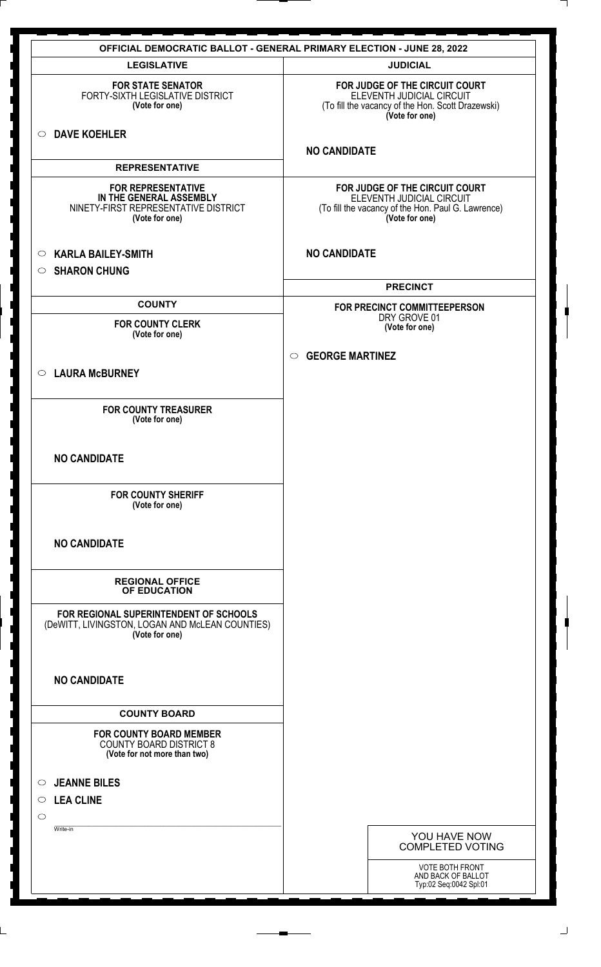|                                                                                                                | <b>OFFICIAL DEMOCRATIC BALLOT - GENERAL PRIMARY ELECTION - JUNE 28, 2022</b>                                                        |
|----------------------------------------------------------------------------------------------------------------|-------------------------------------------------------------------------------------------------------------------------------------|
| <b>LEGISLATIVE</b>                                                                                             | <b>JUDICIAL</b>                                                                                                                     |
| <b>FOR STATE SENATOR</b><br>FORTY-SIXTH LEGISLATIVE DISTRICT<br>(Vote for one)                                 | FOR JUDGE OF THE CIRCUIT COURT<br>ELEVENTH JUDICIAL CIRCUIT<br>(To fill the vacancy of the Hon. Scott Drazewski)<br>(Vote for one)  |
| <b>DAVE KOEHLER</b><br>$\circ$                                                                                 | <b>NO CANDIDATE</b>                                                                                                                 |
| <b>REPRESENTATIVE</b>                                                                                          |                                                                                                                                     |
| <b>FOR REPRESENTATIVE</b><br>IN THE GENERAL ASSEMBLY<br>NINETY-FIRST REPRESENTATIVE DISTRICT<br>(Vote for one) | FOR JUDGE OF THE CIRCUIT COURT<br>ELEVENTH JUDICIAL CIRCUIT<br>(To fill the vacancy of the Hon. Paul G. Lawrence)<br>(Vote for one) |
| <b>KARLA BAILEY-SMITH</b><br>$\circ$<br><b>SHARON CHUNG</b><br>$\circ$                                         | <b>NO CANDIDATE</b>                                                                                                                 |
|                                                                                                                | <b>PRECINCT</b>                                                                                                                     |
| <b>COUNTY</b>                                                                                                  | FOR PRECINCT COMMITTEEPERSON                                                                                                        |
| <b>FOR COUNTY CLERK</b><br>(Vote for one)                                                                      | DRY GROVE 01<br>(Vote for one)                                                                                                      |
|                                                                                                                | <b>GEORGE MARTINEZ</b><br>$\circ$                                                                                                   |
| <b>LAURA McBURNEY</b><br>$\circ$                                                                               |                                                                                                                                     |
|                                                                                                                |                                                                                                                                     |
| <b>FOR COUNTY TREASURER</b><br>(Vote for one)                                                                  |                                                                                                                                     |
| <b>NO CANDIDATE</b>                                                                                            |                                                                                                                                     |
| <b>FOR COUNTY SHERIFF</b><br>(Vote for one)                                                                    |                                                                                                                                     |
| <b>NO CANDIDATE</b>                                                                                            |                                                                                                                                     |
| <b>REGIONAL OFFICE</b><br>OF EDUCATION                                                                         |                                                                                                                                     |
| FOR REGIONAL SUPERINTENDENT OF SCHOOLS<br>(DeWITT, LIVINGSTON, LOGAN AND McLEAN COUNTIES)<br>(Vote for one)    |                                                                                                                                     |
| <b>NO CANDIDATE</b>                                                                                            |                                                                                                                                     |
| <b>COUNTY BOARD</b>                                                                                            |                                                                                                                                     |
| <b>FOR COUNTY BOARD MEMBER</b><br><b>COUNTY BOARD DISTRICT 8</b><br>(Vote for not more than two)               |                                                                                                                                     |
| <b>JEANNE BILES</b><br>$\circ$                                                                                 |                                                                                                                                     |
| $\circ$ LEA CLINE                                                                                              |                                                                                                                                     |
| $\circ$                                                                                                        |                                                                                                                                     |
| Write-in                                                                                                       | YOU HAVE NOW<br><b>COMPLETED VOTING</b>                                                                                             |
|                                                                                                                | VOTE BOTH FRONT<br>AND BACK OF BALLOT<br>Typ:02 Seq:0042 Spl:01                                                                     |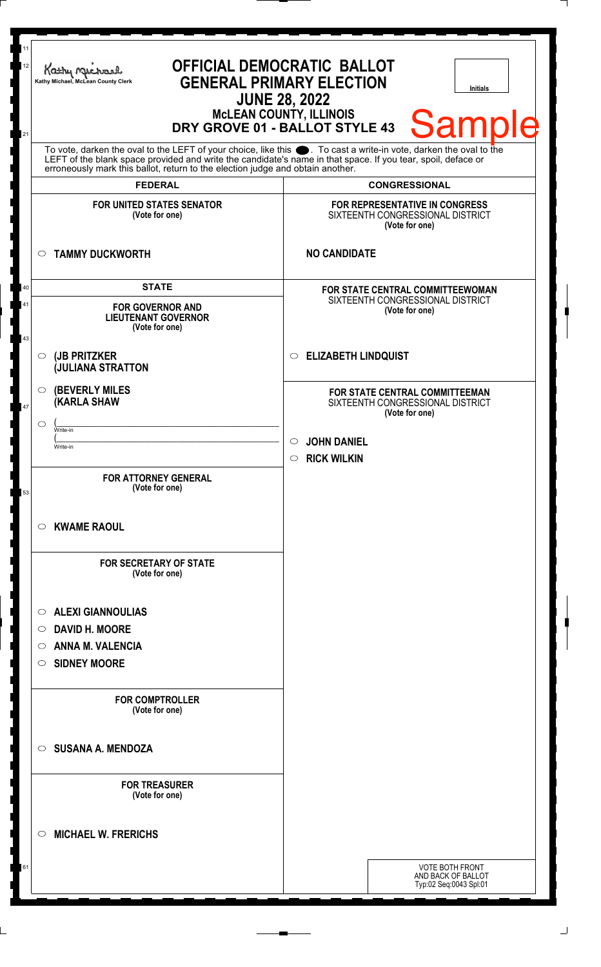| 12       | Kathy Muc<br>Kathy Michael, McLean County Clerk                                | <b>OFFICIAL DEMOCRATIC BALLOT</b><br><b>GENERAL PRIMARY ELECTION</b><br><b>Initials</b><br><b>JUNE 28, 2022</b><br><b>MCLEAN COUNTY, ILLINOIS</b><br><b>Sample</b><br>DRY GROVE 01 - BALLOT STYLE 43                                 |
|----------|--------------------------------------------------------------------------------|--------------------------------------------------------------------------------------------------------------------------------------------------------------------------------------------------------------------------------------|
| 21       | erroneously mark this ballot, return to the election judge and obtain another. | To vote, darken the oval to the LEFT of your choice, like this $\bullet$ . To cast a write-in vote, darken the oval to the LEFT of the blank space provided and write the candidate's name in that space. If you tear, spoil, deface |
|          | <b>FEDERAL</b>                                                                 | <b>CONGRESSIONAL</b>                                                                                                                                                                                                                 |
|          | <b>FOR UNITED STATES SENATOR</b><br>(Vote for one)                             | FOR REPRESENTATIVE IN CONGRESS<br>SIXTEENTH CONGRESSIONAL DISTRICT<br>(Vote for one)                                                                                                                                                 |
|          | <b>TAMMY DUCKWORTH</b><br>$\circ$                                              | <b>NO CANDIDATE</b>                                                                                                                                                                                                                  |
| 40       | <b>STATE</b>                                                                   | FOR STATE CENTRAL COMMITTEEWOMAN<br>SIXTEENTH CONGRESSIONAL DISTRICT                                                                                                                                                                 |
| 41<br>43 | <b>FOR GOVERNOR AND</b><br><b>LIEUTENANT GOVERNOR</b><br>(Vote for one)        | (Vote for one)                                                                                                                                                                                                                       |
|          | (JB PRITZKER<br>$\circ$<br><b>JULIANA STRATTON</b>                             | <b>ELIZABETH LINDQUIST</b><br>$\circ$                                                                                                                                                                                                |
| 47       | <b>(BEVERLY MILES)</b><br>$\circ$<br><b>KARLA SHAW</b>                         | FOR STATE CENTRAL COMMITTEEMAN<br>SIXTEENTH CONGRESSIONAL DISTRICT<br>(Vote for one)                                                                                                                                                 |
|          | ◯<br>Write-in                                                                  | <b>JOHN DANIEL</b><br>$\circ$                                                                                                                                                                                                        |
|          | Write-in                                                                       | <b>RICK WILKIN</b><br>$\circ$                                                                                                                                                                                                        |
| 53       | <b>FOR ATTORNEY GENERAL</b><br>(Vote for one)                                  |                                                                                                                                                                                                                                      |
|          | <b>KWAME RAOUL</b><br>$\circ$                                                  |                                                                                                                                                                                                                                      |
|          | <b>FOR SECRETARY OF STATE</b><br>(Vote for one)                                |                                                                                                                                                                                                                                      |
|          | <b>ALEXI GIANNOULIAS</b><br>$\circ$                                            |                                                                                                                                                                                                                                      |
|          | <b>DAVID H. MOORE</b><br>$\circ$                                               |                                                                                                                                                                                                                                      |
|          | <b>ANNA M. VALENCIA</b><br>$\bigcirc$<br><b>SIDNEY MOORE</b><br>$\circ$        |                                                                                                                                                                                                                                      |
|          |                                                                                |                                                                                                                                                                                                                                      |
|          | <b>FOR COMPTROLLER</b><br>(Vote for one)                                       |                                                                                                                                                                                                                                      |
|          | <b>SUSANA A. MENDOZA</b><br>$\bigcirc$                                         |                                                                                                                                                                                                                                      |
|          | <b>FOR TREASURER</b><br>(Vote for one)                                         |                                                                                                                                                                                                                                      |
|          | <b>MICHAEL W. FRERICHS</b><br>◯                                                |                                                                                                                                                                                                                                      |
| 61       |                                                                                | <b>VOTE BOTH FRONT</b><br>AND BACK OF BALLOT                                                                                                                                                                                         |
|          |                                                                                | Typ:02 Seq:0043 Spl:01                                                                                                                                                                                                               |